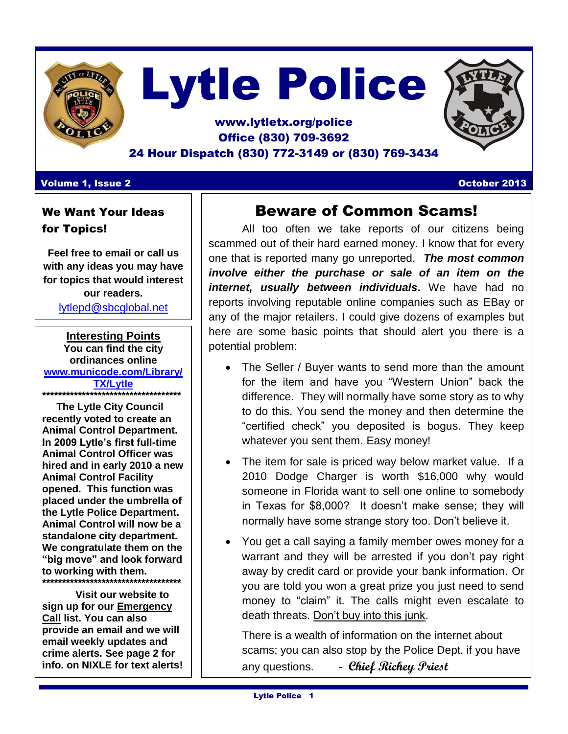

# Lytle Police

### www.lytletx.org/police Office (830) 709-3692 24 Hour Dispatch (830) 772-3149 or (830) 769-3434

### **Volume 1, Issue 2 October 2013**

### We Want Your Ideas for Topics!

**Feel free to email or call us with any ideas you may have for topics that would interest our readers.**  [lytlepd@sbcglobal.net](mailto:lytlepd@sbcglobal.net)

**Interesting Points You can find the city ordinances online [www.municode.com/Library/](http://www.municode.com/Library/TX/Lytle) [TX/Lytle](http://www.municode.com/Library/TX/Lytle) \*\*\*\*\*\*\*\*\*\*\*\*\*\*\*\*\*\*\*\*\*\*\*\*\*\*\*\*\*\*\*\*\*\*\***

 **The Lytle City Council recently voted to create an Animal Control Department. In 2009 Lytle's first full-time Animal Control Officer was hired and in early 2010 a new Animal Control Facility opened. This function was placed under the umbrella of the Lytle Police Department. Animal Control will now be a standalone city department. We congratulate them on the "big move" and look forward to working with them. \*\*\*\*\*\*\*\*\*\*\*\*\*\*\*\*\*\*\*\*\*\*\*\*\*\*\*\*\*\*\*\*\*\*\***

**Visit our website to sign up for our Emergency Call list. You can also provide an email and we will email weekly updates and crime alerts. See page 2 for info. on NIXLE for text alerts!**

## Beware of Common Scams!

All too often we take reports of our citizens being scammed out of their hard earned money. I know that for every one that is reported many go unreported. *The most common involve either the purchase or sale of an item on the internet, usually between individuals***.** We have had no reports involving reputable online companies such as EBay or any of the major retailers. I could give dozens of examples but here are some basic points that should alert you there is a potential problem:

- The Seller / Buyer wants to send more than the amount for the item and have you "Western Union" back the difference. They will normally have some story as to why to do this. You send the money and then determine the "certified check" you deposited is bogus. They keep whatever you sent them. Easy money!
- The item for sale is priced way below market value. If a 2010 Dodge Charger is worth \$16,000 why would someone in Florida want to sell one online to somebody in Texas for \$8,000? It doesn't make sense; they will normally have some strange story too. Don't believe it.
- You get a call saying a family member owes money for a warrant and they will be arrested if you don't pay right away by credit card or provide your bank information. Or you are told you won a great prize you just need to send money to "claim" it. The calls might even escalate to death threats. Don't buy into this junk.

There is a wealth of information on the internet about scams; you can also stop by the Police Dept. if you have any questions. - **Chief Richey Priest**

I